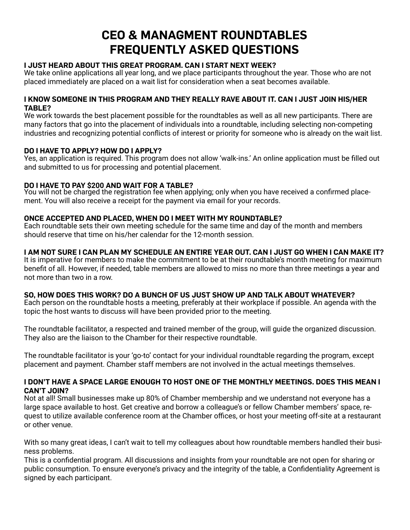# **Ceo & managment roundtables frequently asked questIons**

# **I just heard about thIs great program. Can I start next week?**

We take online applications all year long, and we place participants throughout the year. Those who are not placed immediately are placed on a wait list for consideration when a seat becomes available.

#### **I KNOW SOMEONE IN THIS PROGRAM AND THEY REALLY RAVE ABOUT IT. CAN I JUST JOIN HIS/HER table?**

We work towards the best placement possible for the roundtables as well as all new participants. There are many factors that go into the placement of individuals into a roundtable, including selecting non-competing industries and recognizing potential conflicts of interest or priority for someone who is already on the wait list.

## **do I have to apply? how do I apply?**

Yes, an application is required. This program does not allow 'walk-ins.' An online application must be filled out and submitted to us for processing and potential placement.

## **do I have to pay \$200 and waIt for a table?**

You will not be charged the registration fee when applying; only when you have received a confirmed placement. You will also receive a receipt for the payment via email for your records.

## **onCe aCCepted and plaCed, when do I meet wIth my roundtable?**

Each roundtable sets their own meeting schedule for the same time and day of the month and members should reserve that time on his/her calendar for the 12-month session.

# **I am not sure I Can plan my sChedule an entIre year out. Can I just go when I Can make It?**

It is imperative for members to make the commitment to be at their roundtable's month meeting for maximum benefit of all. However, if needed, table members are allowed to miss no more than three meetings a year and not more than two in a row.

#### **so, how does thIs work? do a bunCh of us just show up and talk about whatever?**

Each person on the roundtable hosts a meeting, preferably at their workplace if possible. An agenda with the topic the host wants to discuss will have been provided prior to the meeting.

The roundtable facilitator, a respected and trained member of the group, will guide the organized discussion. They also are the liaison to the Chamber for their respective roundtable.

The roundtable facilitator is your 'go-to' contact for your individual roundtable regarding the program, except placement and payment. Chamber staff members are not involved in the actual meetings themselves.

#### **I DON'T HAVE A SPACE LARGE ENOUGH TO HOST ONE OF THE MONTHLY MEETINGS. DOES THIS MEAN I Can't joIn?**

Not at all! Small businesses make up 80% of Chamber membership and we understand not everyone has a large space available to host. Get creative and borrow a colleague's or fellow Chamber members' space, request to utilize available conference room at the Chamber offices, or host your meeting off-site at a restaurant or other venue.

With so many great ideas, I can't wait to tell my colleagues about how roundtable members handled their business problems.

This is a confidential program. All discussions and insights from your roundtable are not open for sharing or public consumption. To ensure everyone's privacy and the integrity of the table, a Confidentiality Agreement is signed by each participant.